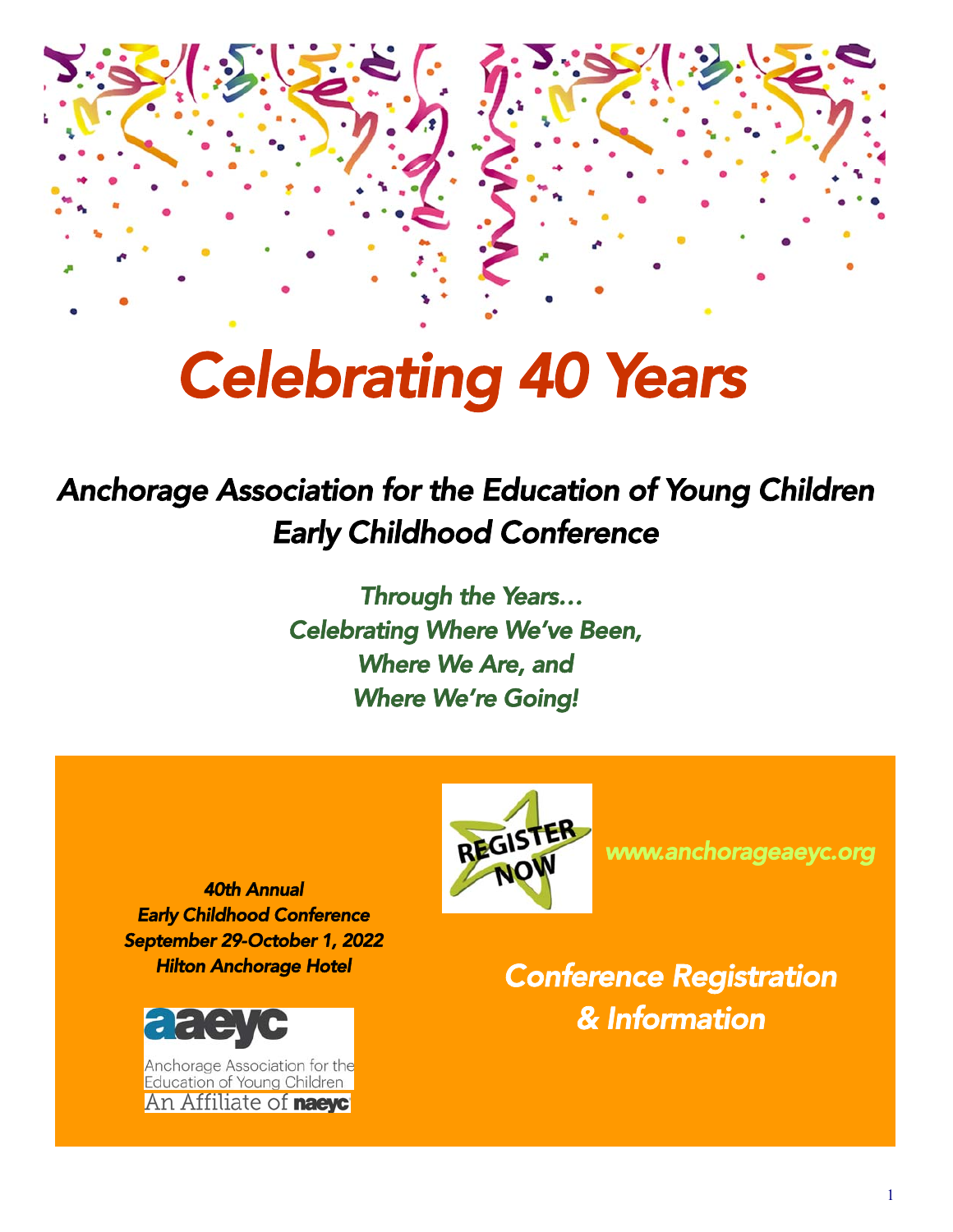

# *Celebrating 40 Years*

## *Anchorage Association for the Education of Young Children Early Childhood Conference*

 *Through the Years… Celebrating Where We've Been, Where We Are, and Where We're Going!* 



*www.anchorageaeyc.org* 

*40th Annual Early Childhood Conference September 29-October 1, 2022 Hilton Anchorage Hotel* 



Anchorage Association for the Education of Young Children An Affiliate of **naeyc**'

*Conference Registration & Information*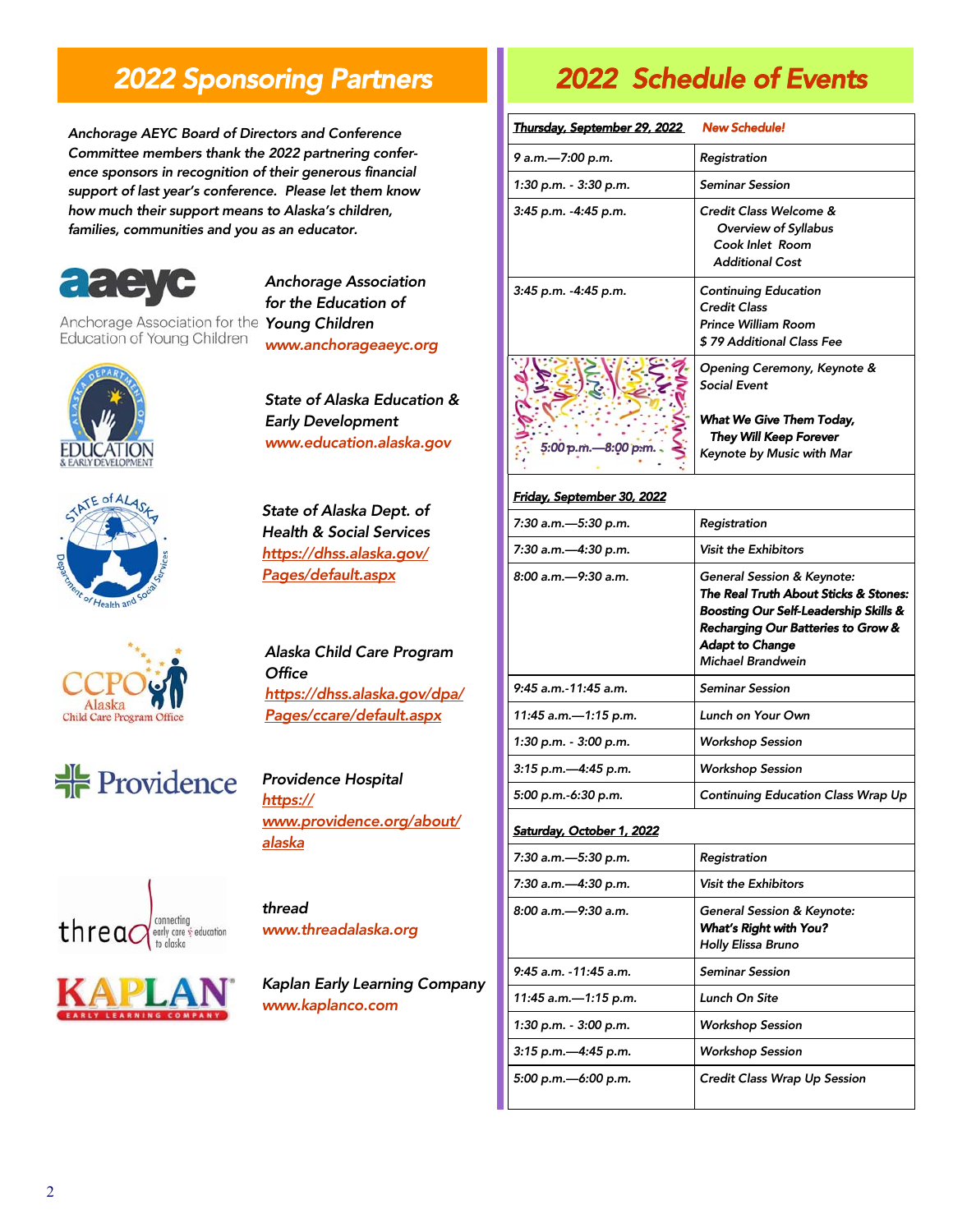### *2022 Sponsoring Partners*

*Anchorage AEYC Board of Directors and Conference Committee members thank the 2022 partnering conference sponsors in recognition of their generous financial support of last year's conference. Please let them know how much their support means to Alaska's children, families, communities and you as an educator.* 



Education of Young Children

*Anchorage Association for the Education of Young Children www.anchorageaeyc.org* 













*State of Alaska Education & Early Development www.education.alaska.gov* 

*State of Alaska Dept. of Health & Social Services https://dhss.alaska.gov/ Pages/default.aspx* 

*Alaska Child Care Program Office https://dhss.alaska.gov/dpa/ Pages/ccare/default.aspx* 

*Providence Hospital https:// www.providence.org/about/ alaska* 

*thread www.threadalaska.org* 

*Kaplan Early Learning Company www.kaplanco.com* 

### *2022 Schedule of Events*

| Thursday, September 29, 2022      | <b>New Schedule!</b>                                                                                                                                                                                                |
|-----------------------------------|---------------------------------------------------------------------------------------------------------------------------------------------------------------------------------------------------------------------|
| 9 a.m.-7:00 p.m.                  | Registration                                                                                                                                                                                                        |
| 1:30 p.m. - 3:30 p.m.             | <b>Seminar Session</b>                                                                                                                                                                                              |
| 3:45 p.m. -4:45 p.m.              | Credit Class Welcome &<br>Overview of Syllabus<br>Cook Inlet Room<br><b>Additional Cost</b>                                                                                                                         |
| 3:45 p.m. - 4:45 p.m.             | <b>Continuing Education</b><br><b>Credit Class</b><br><b>Prince William Room</b><br>\$79 Additional Class Fee                                                                                                       |
|                                   | Opening Ceremony, Keynote &<br><b>Social Event</b>                                                                                                                                                                  |
| 5:00 p.m. - 8:00 p.m.             | What We Give Them Today,<br><b>They Will Keep Forever</b><br>Keynote by Music with Mar                                                                                                                              |
| <u>Friday, September 30, 2022</u> |                                                                                                                                                                                                                     |
| 7:30 a.m.-5:30 p.m.               | Registration                                                                                                                                                                                                        |
| 7:30 a.m.-4:30 p.m.               | <b>Visit the Exhibitors</b>                                                                                                                                                                                         |
| 8:00 a.m.-9:30 a.m.               | <b>General Session &amp; Keynote:</b><br>The Real Truth About Sticks & Stones:<br>Boosting Our Self-Leadership Skills &<br>Recharging Our Batteries to Grow &<br><b>Adapt to Change</b><br><b>Michael Brandwein</b> |
| 9:45 a.m.-11:45 a.m.              | <b>Seminar Session</b>                                                                                                                                                                                              |
| 11:45 a.m.-1:15 p.m.              | Lunch on Your Own                                                                                                                                                                                                   |
| 1:30 p.m. - 3:00 p.m.             | <b>Workshop Session</b>                                                                                                                                                                                             |
| 3:15 p.m.-4:45 p.m.               | <b>Workshop Session</b>                                                                                                                                                                                             |
| 5:00 p.m.-6:30 p.m.               | Continuing Education Class Wrap Up                                                                                                                                                                                  |
| <b>Saturday, October 1, 2022</b>  |                                                                                                                                                                                                                     |
| 7:30 a.m.-5:30 p.m.               | Registration                                                                                                                                                                                                        |
| 7:30 a.m.-4:30 p.m.               | <b>Visit the Exhibitors</b>                                                                                                                                                                                         |
| 8:00 a.m.—9:30 a.m.               | General Session & Keynote:<br>What's Right with You?<br>Holly Elissa Bruno                                                                                                                                          |
| 9:45 a.m. -11:45 a.m.             | <b>Seminar Session</b>                                                                                                                                                                                              |
| 11:45 a.m.-1:15 p.m.              | Lunch On Site                                                                                                                                                                                                       |
| 1:30 p.m. - 3:00 p.m.             | <b>Workshop Session</b>                                                                                                                                                                                             |
| 3:15 p.m.-4:45 p.m.               | <b>Workshop Session</b>                                                                                                                                                                                             |
| 5:00 p.m.-6:00 p.m.               | Credit Class Wrap Up Session                                                                                                                                                                                        |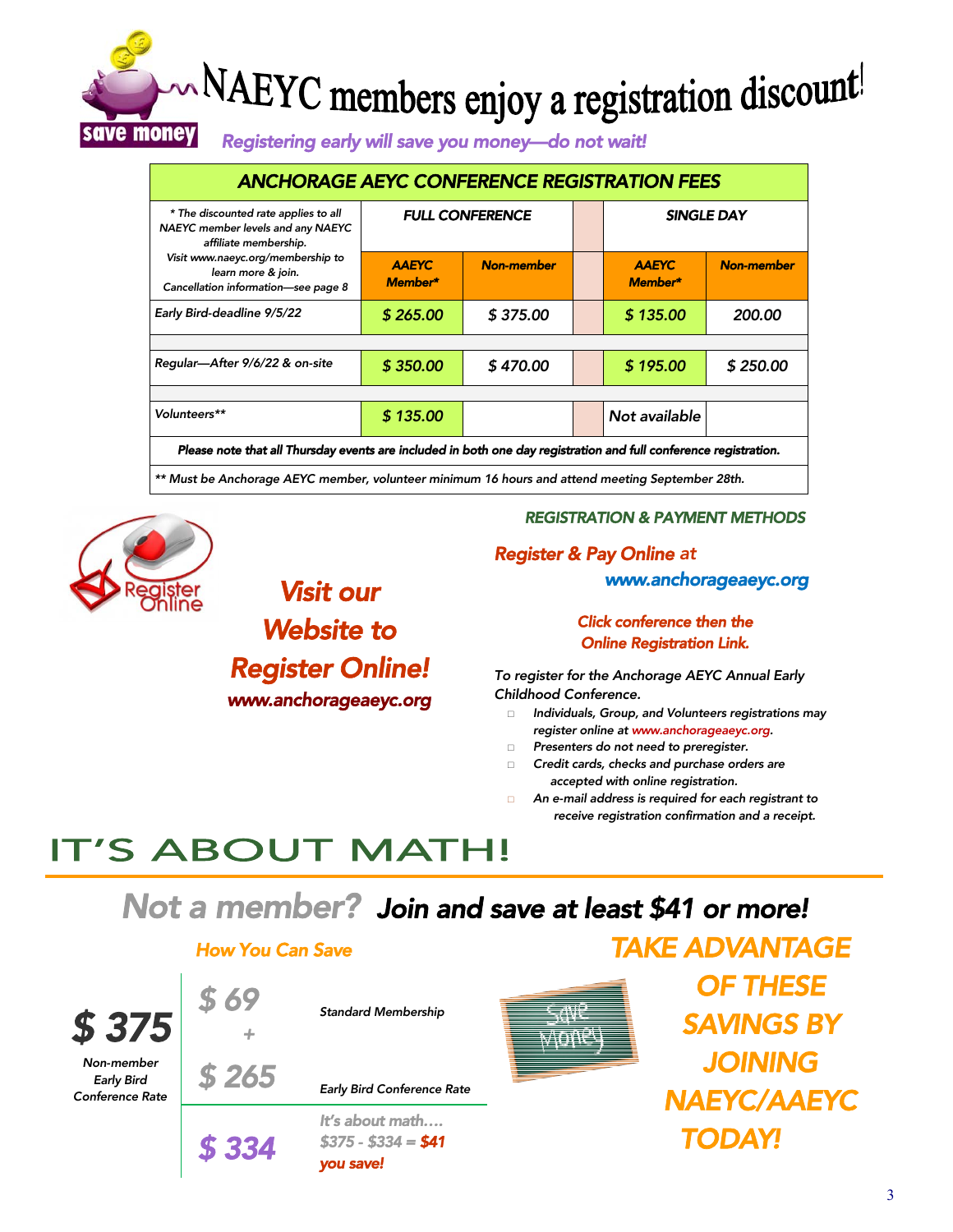## NAEYC members enjoy a registration discount! save money

*Registering early will save you money—do not wait!* 

| <b>ANCHORAGE AEYC CONFERENCE REGISTRATION FEES</b>                                                               |                         |                   |  |                         |                   |  |
|------------------------------------------------------------------------------------------------------------------|-------------------------|-------------------|--|-------------------------|-------------------|--|
| * The discounted rate applies to all<br>NAEYC member levels and any NAEYC<br>affiliate membership.               | <b>FULL CONFERENCE</b>  |                   |  | SINGLE DAY              |                   |  |
| Visit www.naeyc.org/membership to<br>learn more & join.<br>Cancellation information-see page 8                   | <b>AAEYC</b><br>Member* | <b>Non-member</b> |  | <b>AAEYC</b><br>Member* | <b>Non-member</b> |  |
| Early Bird-deadline 9/5/22                                                                                       | \$265.00                | \$375.00          |  | \$135.00                | 200.00            |  |
|                                                                                                                  |                         |                   |  |                         |                   |  |
| Regular-After 9/6/22 & on-site                                                                                   | \$350.00                | \$470.00          |  | \$195.00                | \$250.00          |  |
|                                                                                                                  |                         |                   |  |                         |                   |  |
| Volunteers**                                                                                                     | \$135.00                |                   |  | Not available           |                   |  |
| Please note that all Thursday events are included in both one day registration and full conference registration. |                         |                   |  |                         |                   |  |

*\*\* Must be Anchorage AEYC member, volunteer minimum 16 hours and attend meeting September 28th.* 



### *Visit our Website to*

### *Register Online!*

*www.anchorageaeyc.org* 

#### *REGISTRATION & PAYMENT METHODS*

#### *Register & Pay Online at*

 *www.anchorageaeyc.org* 

#### *Click conference then the Online Registration Link.*

*To register for the Anchorage AEYC Annual Early Childhood Conference.* 

- □ *Individuals, Group, and Volunteers registrations may register online at www.anchorageaeyc.org.*
- □ *Presenters do not need to preregister.*
- □ *Credit cards, checks and purchase orders are accepted with online registration.*
- □ *An e-mail address is required for each registrant to receive registration confirmation and a receipt.*

*TAKE ADVANTAGE* 

## **IT'S ABOUT MATH!**

*Not a member? Join and save at least \$41 or more!* 

#### *How You Can Save*

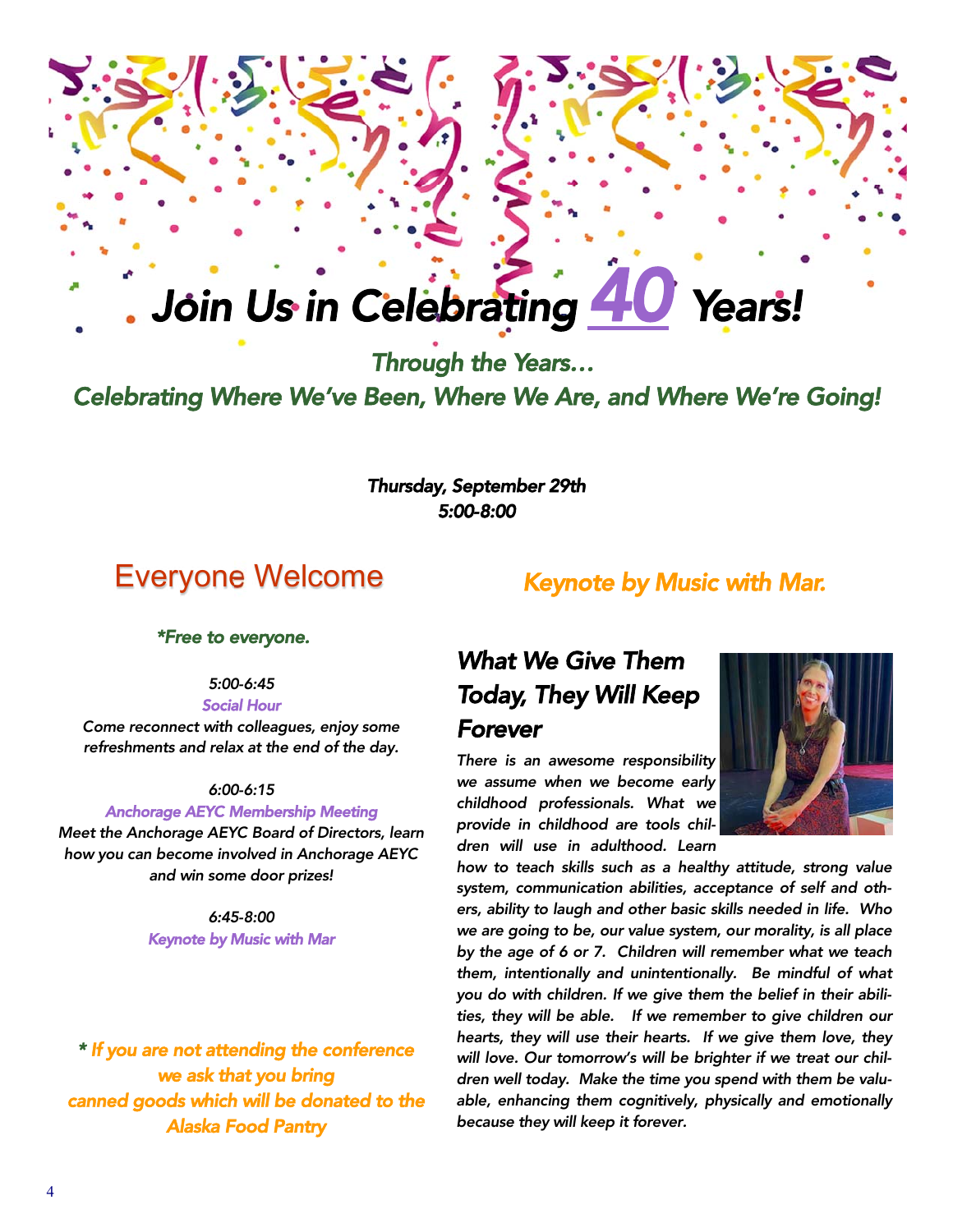# *Join Us in Celebrating 40 Years!*

 *Through the Years… Celebrating Where We've Been, Where We Are, and Where We're Going!* 

> *Thursday, September 29th 5:00-8:00*

### Everyone Welcome

### *Keynote by Music with Mar.*

*\*Free to everyone.* 

*5:00-6:45* 

*Social Hour* 

*Come reconnect with colleagues, enjoy some refreshments and relax at the end of the day.* 

#### *6:00-6:15*

#### *Anchorage AEYC Membership Meeting*

*Meet the Anchorage AEYC Board of Directors, learn how you can become involved in Anchorage AEYC and win some door prizes!* 

> *6:45-8:00 Keynote by Music with Mar*

*\* If you are not attending the conference we ask that you bring canned goods which will be donated to the Alaska Food Pantry* 

### *What We Give Them Today, They Will Keep Forever*

*There is an awesome responsibility we assume when we become early childhood professionals. What we provide in childhood are tools children will use in adulthood. Learn* 



*how to teach skills such as a healthy attitude, strong value system, communication abilities, acceptance of self and others, ability to laugh and other basic skills needed in life. Who we are going to be, our value system, our morality, is all place by the age of 6 or 7. Children will remember what we teach them, intentionally and unintentionally. Be mindful of what you do with children. If we give them the belief in their abilities, they will be able. If we remember to give children our hearts, they will use their hearts. If we give them love, they will love. Our tomorrow's will be brighter if we treat our children well today. Make the time you spend with them be valuable, enhancing them cognitively, physically and emotionally because they will keep it forever.*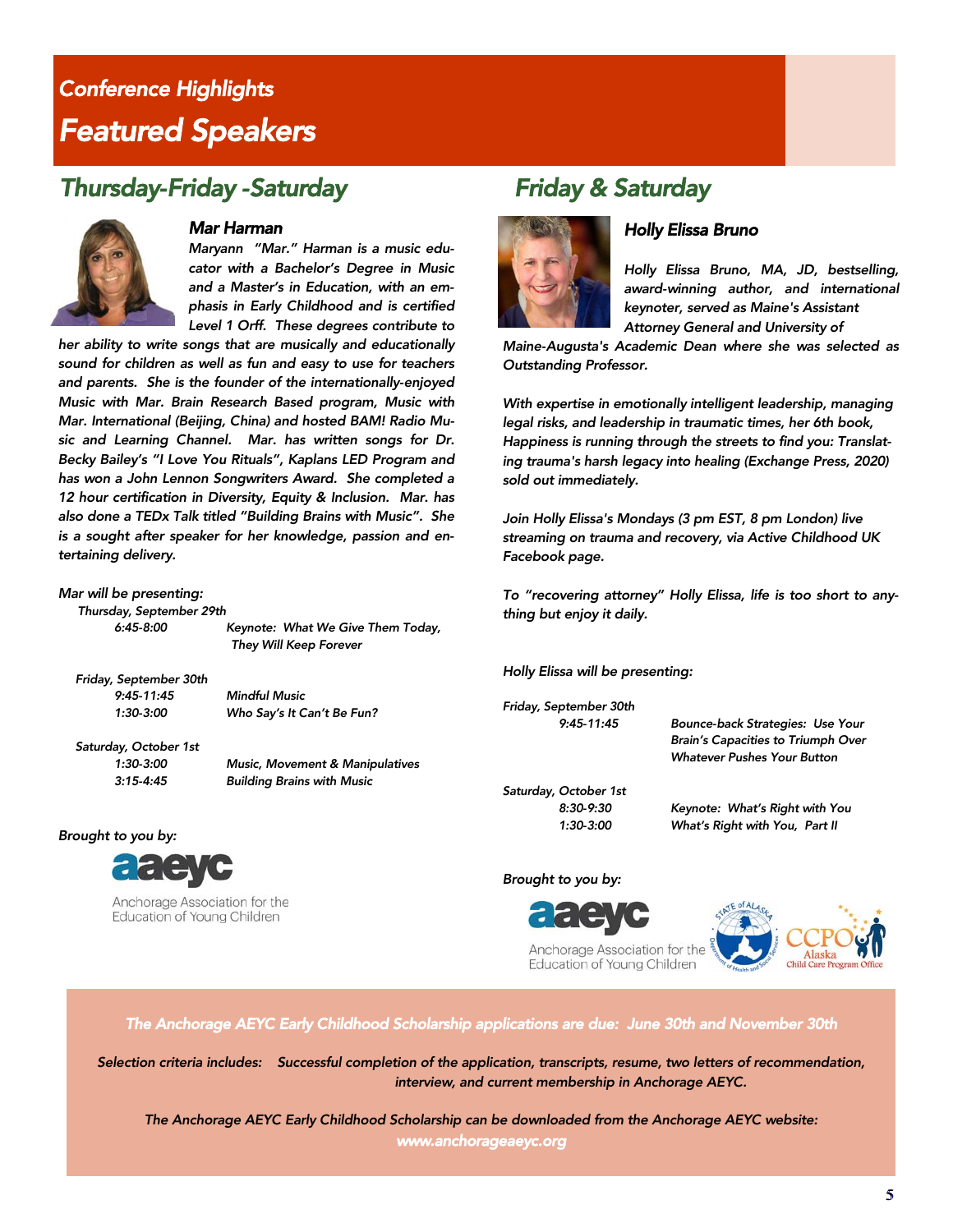### *Conference Highlights Featured Speakers*

### *Thursday-Friday -Saturday Friday & Saturday*



#### *Mar Harman*

*Maryann "Mar." Harman is a music educator with a Bachelor's Degree in Music and a Master's in Education, with an emphasis in Early Childhood and is certified Level 1 Orff. These degrees contribute to* 

*her ability to write songs that are musically and educationally sound for children as well as fun and easy to use for teachers and parents. She is the founder of the internationally-enjoyed Music with Mar. Brain Research Based program, Music with Mar. International (Beijing, China) and hosted BAM! Radio Music and Learning Channel. Mar. has written songs for Dr. Becky Bailey's "I Love You Rituals", Kaplans LED Program and has won a John Lennon Songwriters Award. She completed a 12 hour certification in Diversity, Equity & Inclusion. Mar. has also done a TEDx Talk titled "Building Brains with Music". She is a sought after speaker for her knowledge, passion and entertaining delivery.* 

#### *Mar will be presenting:*

 *Thursday, September 29th* 

 *6:45-8:00 Keynote: What We Give Them Today, They Will Keep Forever* 

 *Friday, September 30th 9:45-11:45 Mindful Music* 

 *1:30-3:00 Who Say's It Can't Be Fun?* 

 *Saturday, October 1st* 

 *1:30-3:00 Music, Movement & Manipulatives 3:15-4:45 Building Brains with Music* 

#### *Brought to you by:*



Anchorage Association for the Education of Young Children



#### *Holly Elissa Bruno*

*Holly Elissa Bruno, MA, JD, bestselling, award-winning author, and international keynoter, served as Maine's Assistant Attorney General and University of* 

*Maine-Augusta's Academic Dean where she was selected as Outstanding Professor.* 

*With expertise in emotionally intelligent leadership, managing legal risks, and leadership in traumatic times, her 6th book, Happiness is running through the streets to find you: Translating trauma's harsh legacy into healing (Exchange Press, 2020) sold out immediately.* 

*Join Holly Elissa's Mondays (3 pm EST, 8 pm London) live streaming on trauma and recovery, via Active Childhood UK Facebook page.* 

*To "recovering attorney" Holly Elissa, life is too short to anything but enjoy it daily.* 

*Holly Elissa will be presenting:* 

*Friday, September 30th* 

 *9:45-11:45 Bounce-back Strategies: Use Your Brain's Capacities to Triumph Over Whatever Pushes Your Button* 

*Saturday, October 1st* 

 *8:30-9:30 Keynote: What's Right with You 1:30-3:00 What's Right with You, Part II* 

#### *Brought to you by:*



Anchorage Association for the Education of Young Children



*The Anchorage AEYC Early Childhood Scholarship applications are due: June 30th and November 30th* 

*Selection criteria includes: Successful completion of the application, transcripts, resume, two letters of recommendation, interview, and current membership in Anchorage AEYC.* 

*The Anchorage AEYC Early Childhood Scholarship can be downloaded from the Anchorage AEYC website: www.anchorageaeyc.org* 

5 5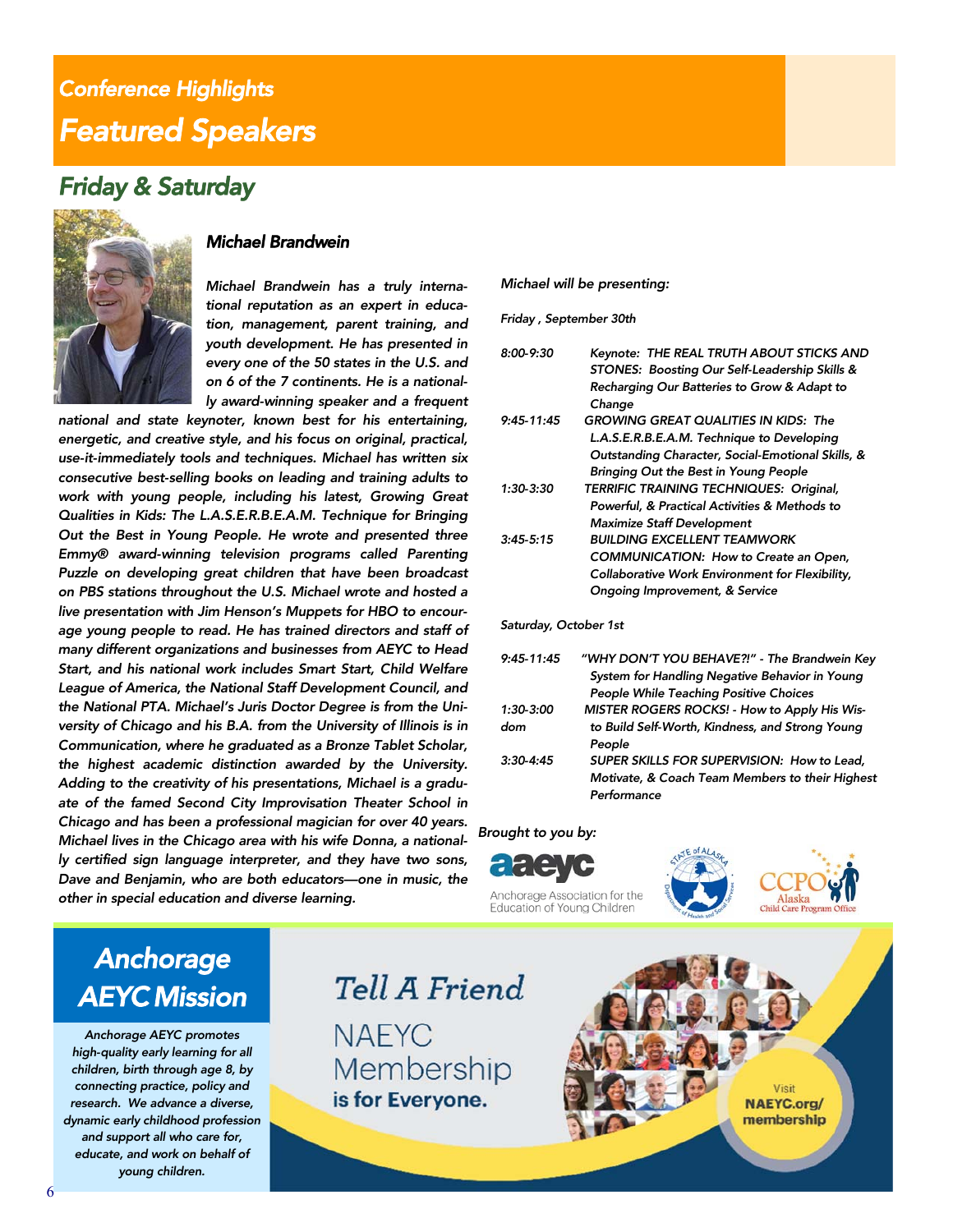### *Conference Highlights Featured Speakers*

### *Friday & Saturday*



#### *Michael Brandwein*

*Michael Brandwein has a truly international reputation as an expert in education, management, parent training, and youth development. He has presented in every one of the 50 states in the U.S. and on 6 of the 7 continents. He is a nationally award-winning speaker and a frequent* 

*national and state keynoter, known best for his entertaining, energetic, and creative style, and his focus on original, practical, use-it-immediately tools and techniques. Michael has written six consecutive best-selling books on leading and training adults to work with young people, including his latest, Growing Great Qualities in Kids: The L.A.S.E.R.B.E.A.M. Technique for Bringing Out the Best in Young People. He wrote and presented three Emmy® award-winning television programs called Parenting Puzzle on developing great children that have been broadcast on PBS stations throughout the U.S. Michael wrote and hosted a live presentation with Jim Henson's Muppets for HBO to encourage young people to read. He has trained directors and staff of many different organizations and businesses from AEYC to Head Start, and his national work includes Smart Start, Child Welfare League of America, the National Staff Development Council, and the National PTA. Michael's Juris Doctor Degree is from the University of Chicago and his B.A. from the University of Illinois is in Communication, where he graduated as a Bronze Tablet Scholar, the highest academic distinction awarded by the University. Adding to the creativity of his presentations, Michael is a graduate of the famed Second City Improvisation Theater School in Chicago and has been a professional magician for over 40 years. Michael lives in the Chicago area with his wife Donna, a nationally certified sign language interpreter, and they have two sons, Dave and Benjamin, who are both educators—one in music, the other in special education and diverse learning.* 

#### *Michael will be presenting:*

*Friday , September 30th* 

| 8:00-9:30    | Keynote: THE REAL TRUTH ABOUT STICKS AND<br>STONES: Boosting Our Self-Leadership Skills &<br>Recharging Our Batteries to Grow & Adapt to<br>Change |
|--------------|----------------------------------------------------------------------------------------------------------------------------------------------------|
| $9:45-11:45$ | <b>GROWING GREAT QUALITIES IN KIDS: The</b>                                                                                                        |
|              | L.A.S.E.R.B.E.A.M. Technique to Developing                                                                                                         |
|              | Outstanding Character, Social-Emotional Skills, &                                                                                                  |
|              | Bringing Out the Best in Young People                                                                                                              |
| 1:30-3:30    | TERRIFIC TRAINING TECHNIQUES: Original,                                                                                                            |
|              | Powerful, & Practical Activities & Methods to                                                                                                      |
|              | <b>Maximize Staff Development</b>                                                                                                                  |
| 3:45.5:15    | <b>BUILDING EXCELLENT TEAMWORK</b>                                                                                                                 |
|              | <b>COMMUNICATION: How to Create an Open,</b>                                                                                                       |
|              | Collaborative Work Environment for Flexibility,                                                                                                    |
|              | <b>Ongoing Improvement, &amp; Service</b>                                                                                                          |
|              |                                                                                                                                                    |

*Saturday, October 1st* 

| $9:45 - 11:45$ | "WHY DON'T YOU BEHAVE?!" - The Brandwein Key                                                                 |
|----------------|--------------------------------------------------------------------------------------------------------------|
|                | System for Handling Negative Behavior in Young                                                               |
|                | <b>People While Teaching Positive Choices</b>                                                                |
| 1:30-3:00      | MISTER ROGERS ROCKS! - How to Apply His Wis-                                                                 |
| dom            | to Build Self-Worth, Kindness, and Strong Young<br>People                                                    |
| $3:30-4:45$    | SUPER SKILLS FOR SUPERVISION: How to Lead.<br>Motivate, & Coach Team Members to their Highest<br>Performance |
|                |                                                                                                              |





Anchorage Association for the Education of Young Children



### *Anchorage AEYC Mission*

*Anchorage AEYC promotes high-quality early learning for all children, birth through age 8, by connecting practice, policy and research. We advance a diverse, dynamic early childhood profession and support all who care for, educate, and work on behalf of young children.* 

Tell A Friend **NAFYC** Membership

is for Everyone.

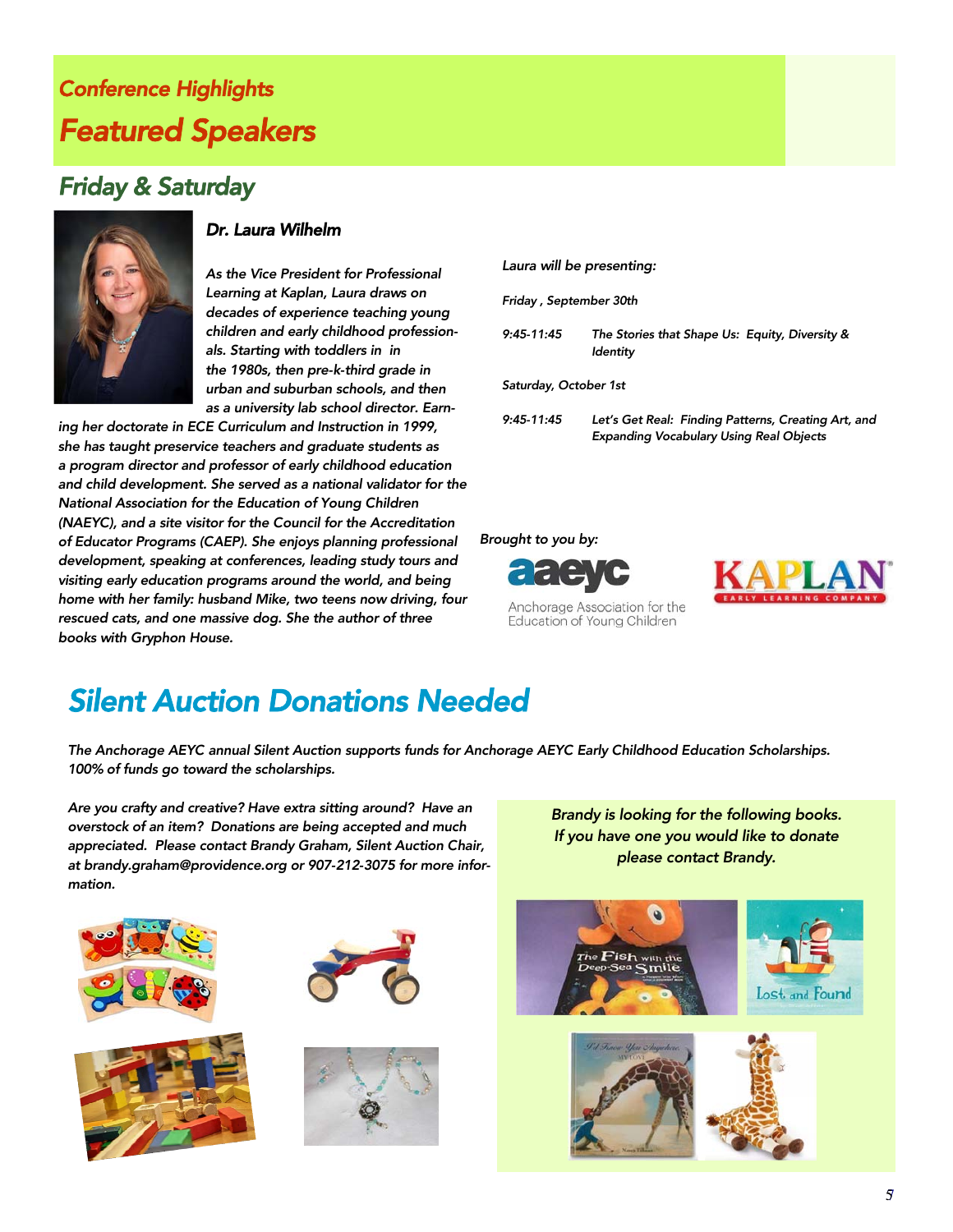### *Conference Highlights Featured Speakers*

### *Friday & Saturday*



#### *Dr. Laura Wilhelm*

*As the Vice President for Professional Learning at Kaplan, Laura draws on decades of experience teaching young children and early childhood professionals. Starting with toddlers in in the 1980s, then pre-k-third grade in urban and suburban schools, and then as a university lab school director. Earn-*

*ing her doctorate in ECE Curriculum and Instruction in 1999, she has taught preservice teachers and graduate students as a program director and professor of early childhood education and child development. She served as a national validator for the National Association for the Education of Young Children (NAEYC), and a site visitor for the Council for the Accreditation of Educator Programs (CAEP). She enjoys planning professional development, speaking at conferences, leading study tours and visiting early education programs around the world, and being home with her family: husband Mike, two teens now driving, four rescued cats, and one massive dog. She the author of three books with Gryphon House.* 

#### *Laura will be presenting:*

*Friday , September 30th* 

*9:45-11:45 The Stories that Shape Us: Equity, Diversity & Identity* 

*Saturday, October 1st* 

*9:45-11:45 Let's Get Real: Finding Patterns, Creating Art, and Expanding Vocabulary Using Real Objects* 

#### *Brought to you by:*



Anchorage Association for the Education of Young Children



### *Silent Auction Donations Needed*

*The Anchorage AEYC annual Silent Auction supports funds for Anchorage AEYC Early Childhood Education Scholarships. 100% of funds go toward the scholarships.* 

*Are you crafty and creative? Have extra sitting around? Have an overstock of an item? Donations are being accepted and much appreciated. Please contact Brandy Graham, Silent Auction Chair, at brandy.graham@providence.org or 907-212-3075 for more information.* 







*Brandy is looking for the following books. If you have one you would like to donate please contact Brandy.* 

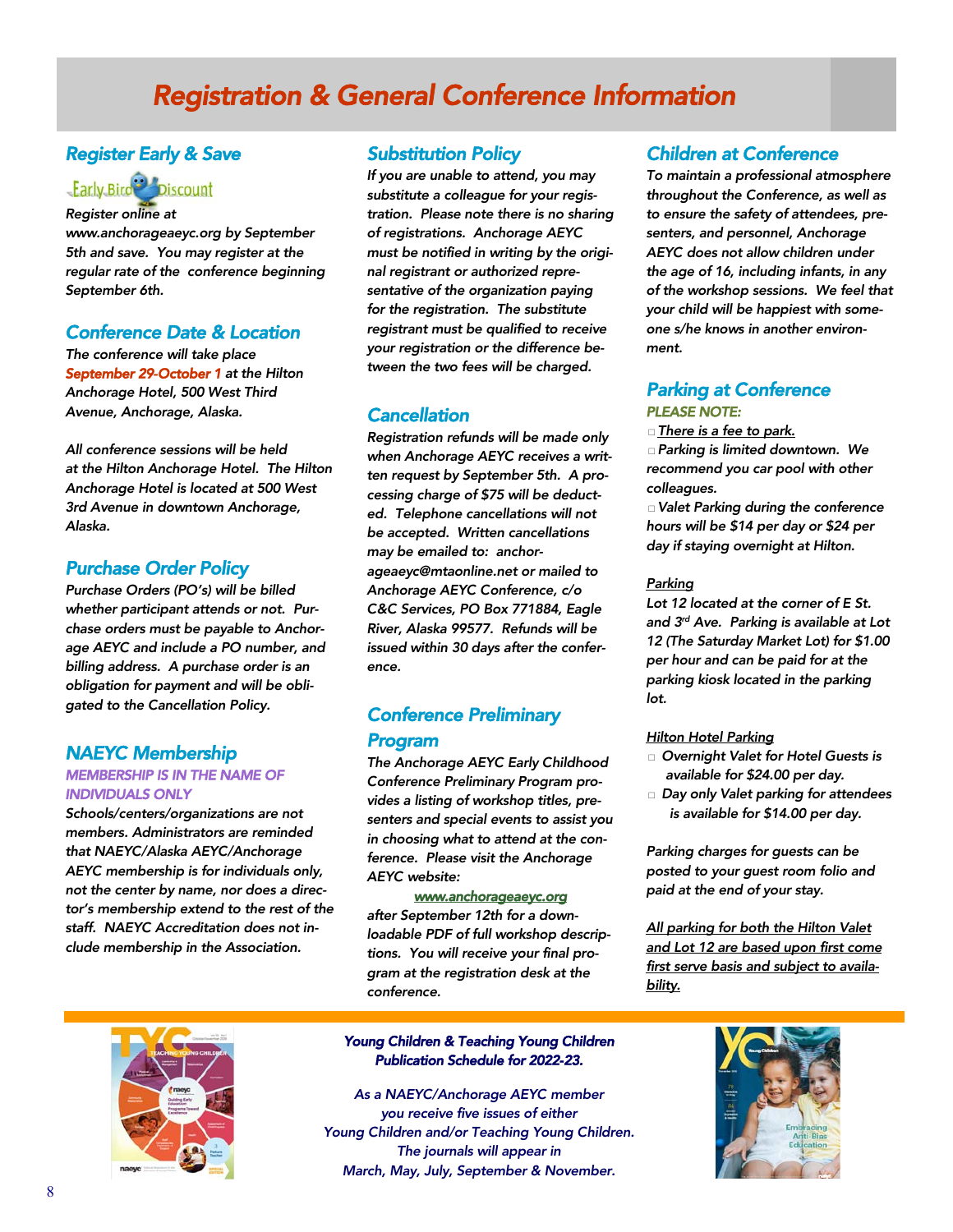### *Registration & General Conference Information*

#### *Register Early & Save*

### 

*Register online at* 

*www.anchorageaeyc.org by September 5th and save. You may register at the regular rate of the conference beginning September 6th.* 

#### *Conference Date & Location*

*The conference will take place September 29-October 1 at the Hilton Anchorage Hotel, 500 West Third Avenue, Anchorage, Alaska.* 

*All conference sessions will be held at the Hilton Anchorage Hotel. The Hilton Anchorage Hotel is located at 500 West 3rd Avenue in downtown Anchorage, Alaska.* 

#### *Purchase Order Policy*

*Purchase Orders (PO's) will be billed whether participant attends or not. Purchase orders must be payable to Anchorage AEYC and include a PO number, and billing address. A purchase order is an obligation for payment and will be obligated to the Cancellation Policy.* 

#### *NAEYC Membership*

#### *MEMBERSHIP IS IN THE NAME OF INDIVIDUALS ONLY*

*Schools/centers/organizations are not members. Administrators are reminded that NAEYC/Alaska AEYC/Anchorage AEYC membership is for individuals only, not the center by name, nor does a director's membership extend to the rest of the staff. NAEYC Accreditation does not include membership in the Association.* 

#### *Substitution Policy*

*If you are unable to attend, you may substitute a colleague for your registration. Please note there is no sharing of registrations. Anchorage AEYC must be notified in writing by the original registrant or authorized representative of the organization paying for the registration. The substitute registrant must be qualified to receive your registration or the difference between the two fees will be charged.* 

#### *Cancellation*

*Registration refunds will be made only when Anchorage AEYC receives a written request by September 5th. A processing charge of \$75 will be deducted. Telephone cancellations will not be accepted. Written cancellations may be emailed to: anchorageaeyc@mtaonline.net or mailed to Anchorage AEYC Conference, c/o C&C Services, PO Box 771884, Eagle River, Alaska 99577. Refunds will be issued within 30 days after the conference.* 

#### *Conference Preliminary Program*

*The Anchorage AEYC Early Childhood Conference Preliminary Program provides a listing of workshop titles, presenters and special events to assist you in choosing what to attend at the conference. Please visit the Anchorage AEYC website:* 

#### *www.anchorageaeyc.org*

*after September 12th for a downloadable PDF of full workshop descriptions. You will receive your final program at the registration desk at the conference.* 

#### *Young Children & Teaching Young Children Publication Schedule for 2022-23.*

*As a NAEYC/Anchorage AEYC member you receive five issues of either Young Children and/or Teaching Young Children. The journals will appear in March, May, July, September & November.* 

#### *Children at Conference*

*To maintain a professional atmosphere throughout the Conference, as well as to ensure the safety of attendees, presenters, and personnel, Anchorage AEYC does not allow children under the age of 16, including infants, in any of the workshop sessions. We feel that your child will be happiest with someone s/he knows in another environment.* 

#### *Parking at Conference PLEASE NOTE:*

□*There is a fee to park.* 

□*Parking is limited downtown. We recommend you car pool with other colleagues.* 

□*Valet Parking during the conference hours will be \$14 per day or \$24 per day if staying overnight at Hilton.* 

#### *Parking*

*Lot 12 located at the corner of E St. and 3rd Ave. Parking is available at Lot 12 (The Saturday Market Lot) for \$1.00 per hour and can be paid for at the parking kiosk located in the parking lot.* 

#### *Hilton Hotel Parking*

- □ *Overnight Valet for Hotel Guests is available for \$24.00 per day.*
- □ *Day only Valet parking for attendees is available for \$14.00 per day.*

*Parking charges for guests can be posted to your guest room folio and paid at the end of your stay.* 

*All parking for both the Hilton Valet and Lot 12 are based upon first come first serve basis and subject to availability.* 



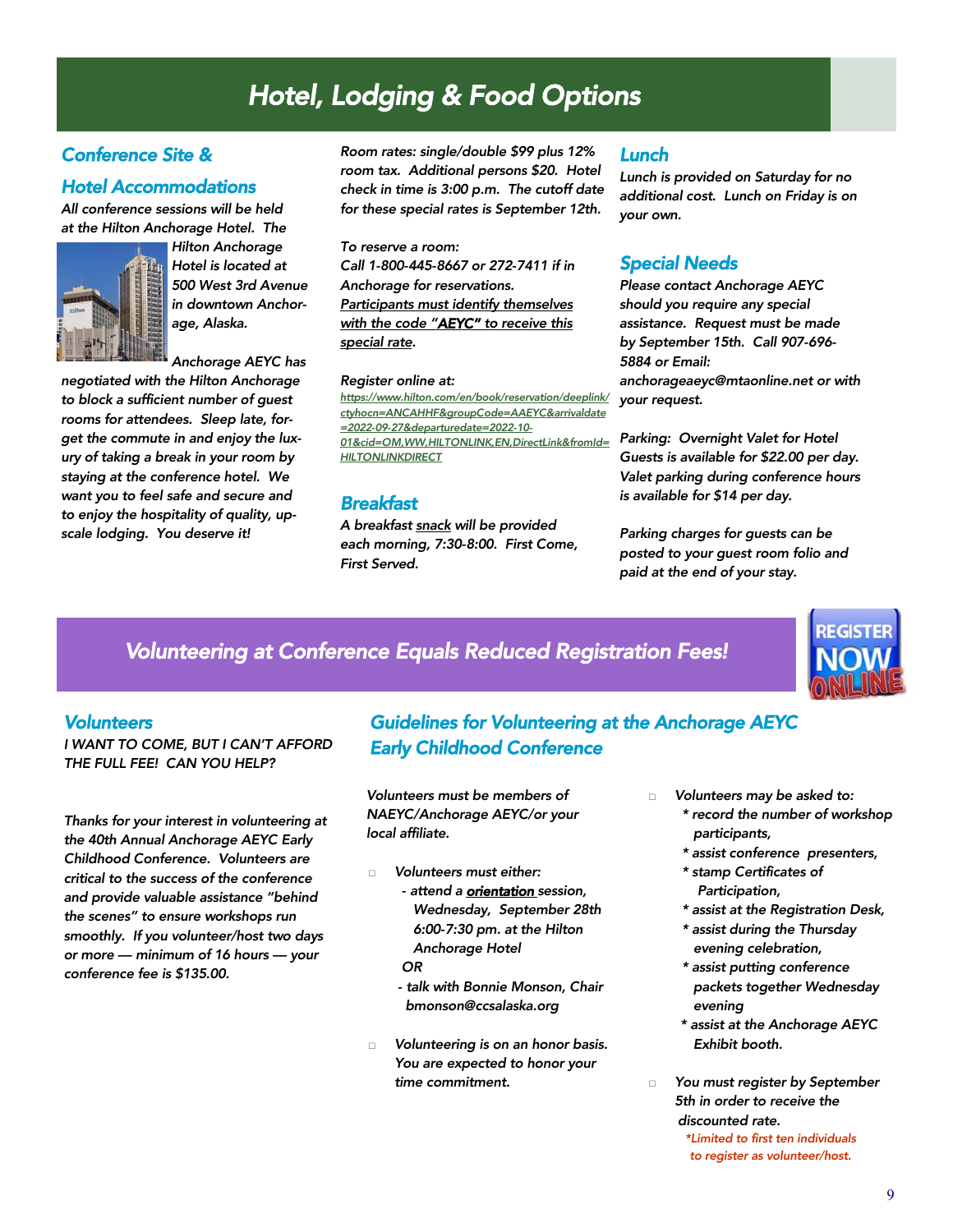### *Hotel, Lodging & Food Options*

#### *Conference Site &*

#### *Hotel Accommodations*

*All conference sessions will be held at the Hilton Anchorage Hotel. The* 



*Hilton Anchorage Hotel is located at 500 West 3rd Avenue in downtown Anchorage, Alaska.* 

*Anchorage AEYC has* 

*negotiated with the Hilton Anchorage to block a sufficient number of guest rooms for attendees. Sleep late, forget the commute in and enjoy the luxury of taking a break in your room by staying at the conference hotel. We want you to feel safe and secure and to enjoy the hospitality of quality, upscale lodging. You deserve it!* 

*Room rates: single/double \$99 plus 12% room tax. Additional persons \$20. Hotel check in time is 3:00 p.m. The cutoff date for these special rates is September 12th.* 

*To reserve a room: Call 1-800-445-8667 or 272-7411 if in Anchorage for reservations. Participants must identify themselves with the code "AEYC" to receive this special rate.* 

#### *Register online at:*

*https://www.hilton.com/en/book/reservation/deeplink/ ctyhocn=ANCAHHF&groupCode=AAEYC&arrivaldate =2022-09-27&departuredate=2022-10- 01&cid=OM,WW,HILTONLINK,EN,DirectLink&fromId= HILTONLINKDIRECT* 

#### *Breakfast*

*A breakfast snack will be provided each morning, 7:30-8:00. First Come, First Served.* 

#### *Lunch*

*Lunch is provided on Saturday for no additional cost. Lunch on Friday is on your own.* 

#### *Special Needs*

*Please contact Anchorage AEYC should you require any special assistance. Request must be made by September 15th. Call 907-696- 5884 or Email: anchorageaeyc@mtaonline.net or with your request.* 

*Parking: Overnight Valet for Hotel Guests is available for \$22.00 per day. Valet parking during conference hours is available for \$14 per day.* 

*Parking charges for guests can be posted to your guest room folio and paid at the end of your stay.* 

#### *Volunteering at Conference Equals Reduced Registration Fees!*

#### *Volunteers*

*I WANT TO COME, BUT I CAN'T AFFORD THE FULL FEE! CAN YOU HELP?* 

*Thanks for your interest in volunteering at the 40th Annual Anchorage AEYC Early Childhood Conference. Volunteers are critical to the success of the conference and provide valuable assistance "behind the scenes" to ensure workshops run smoothly. If you volunteer/host two days or more — minimum of 16 hours — your conference fee is \$135.00.* 

#### *Guidelines for Volunteering at the Anchorage AEYC Early Childhood Conference*

*Volunteers must be members of NAEYC/Anchorage AEYC/or your local affiliate.* 

- □ *Volunteers must either:* 
	- *attend a orientation session, Wednesday, September 28th 6:00-7:30 pm. at the Hilton Anchorage Hotel OR*
	- *talk with Bonnie Monson, Chair bmonson@ccsalaska.org*
- □ *Volunteering is on an honor basis. You are expected to honor your time commitment.*
- □ *Volunteers may be asked to: \* record the number of workshop* 
	- *participants,*
	- *\* assist conference presenters,*
	- *\* stamp Certificates of Participation,*
	- *\* assist at the Registration Desk,*
	- *\* assist during the Thursday evening celebration,*
	- *\* assist putting conference packets together Wednesday evening*
	- *\* assist at the Anchorage AEYC Exhibit booth.*

□ *You must register by September 5th in order to receive the discounted rate.* 

*\*Limited to first ten individuals to register as volunteer/host.*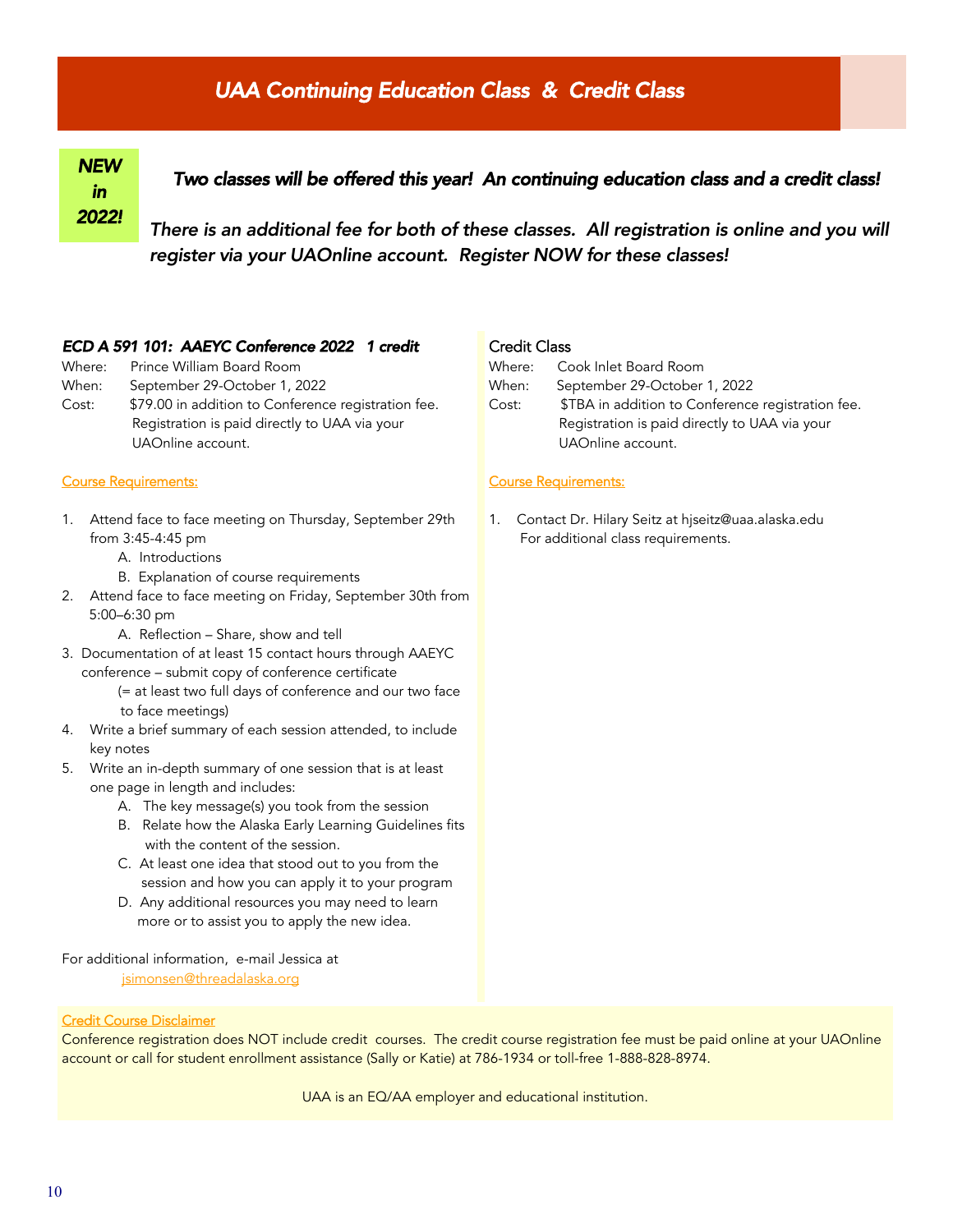### *UAA Continuing Education Class & Credit Class*

#### *NEW in 2022! Two classes will be offered this year! An continuing education class and a credit class! There is an additional fee for both of these classes. All registration is online and you will*

*register via your UAOnline account. Register NOW for these classes!* 

#### *ECD A 591 101: AAEYC Conference 2022 1 credit*

- Where: Prince William Board Room
- When: September 29-October 1, 2022
- Cost: \$79.00 in addition to Conference registration fee. Registration is paid directly to UAA via your UAOnline account.

#### Course Requirements:

- 1. Attend face to face meeting on Thursday, September 29th from 3:45-4:45 pm
	- A. Introductions
	- B. Explanation of course requirements
- 2. Attend face to face meeting on Friday, September 30th from 5:00–6:30 pm
	- A. Reflection Share, show and tell
- 3. Documentation of at least 15 contact hours through AAEYC conference – submit copy of conference certificate
	- (= at least two full days of conference and our two face to face meetings)
- 4. Write a brief summary of each session attended, to include key notes
- 5. Write an in-depth summary of one session that is at least one page in length and includes:
	- A. The key message(s) you took from the session
	- B. Relate how the Alaska Early Learning Guidelines fits with the content of the session.
	- C. At least one idea that stood out to you from the session and how you can apply it to your program
	- D. Any additional resources you may need to learn more or to assist you to apply the new idea.

For additional information, e-mail Jessica at

jsimonsen@threadalaska.org

#### Credit Course Disclaimer

Conference registration does NOT include credit courses. The credit course registration fee must be paid online at your UAOnline account or call for student enrollment assistance (Sally or Katie) at 786-1934 or toll-free 1-888-828-8974.

UAA is an EQ/AA employer and educational institution.

#### Credit Class

| Where: | Cook Inlet Board Room                             |
|--------|---------------------------------------------------|
| When:  | September 29-October 1, 2022                      |
| Cost:  | \$TBA in addition to Conference registration fee. |
|        | Registration is paid directly to UAA via your     |
|        | UAOnline account.                                 |

#### Course Requirements:

1. Contact Dr. Hilary Seitz at hjseitz@uaa.alaska.edu For additional class requirements.